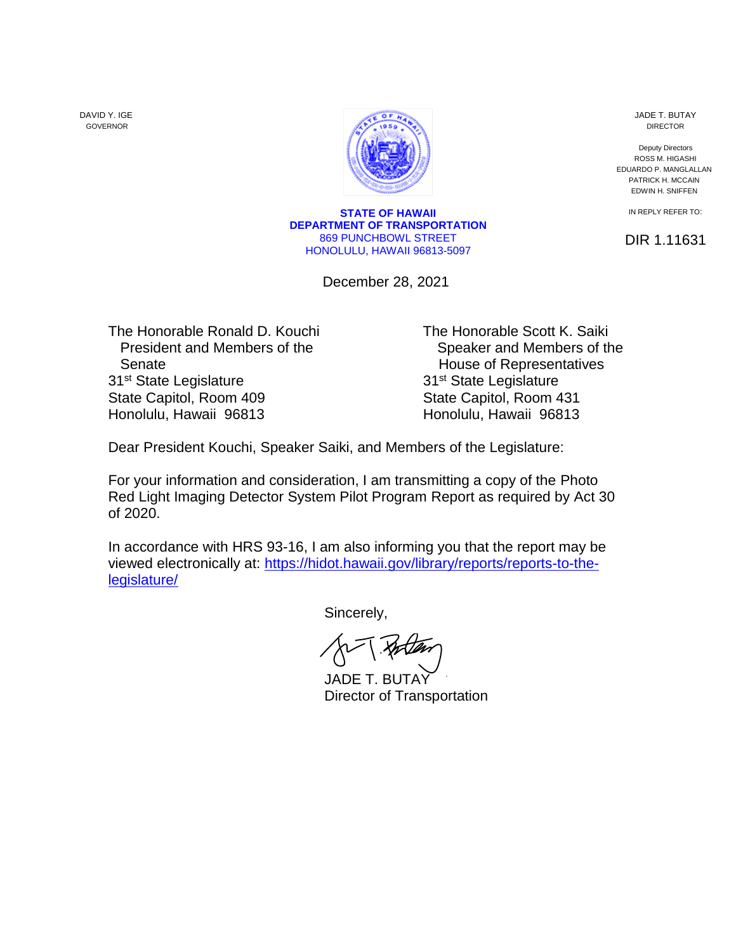DAVID Y. IGE GOVERNOR



**STATE OF HAWAII DEPARTMENT OF TRANSPORTATION** 869 PUNCHBOWL STREET HONOLULU, HAWAII 96813-5097

December 28, 2021

JADE T. BUTAY DIRECTOR

Deputy Directors ROSS M. HIGASHI EDUARDO P. MANGLALLAN PATRICK H. MCCAIN EDWIN H. SNIFFEN

IN REPLY REFER TO:

DIR 1.11631

Senate **Senate House of Representatives** 31<sup>st</sup> State Legislature 31<sup>st</sup> State Legislature State Capitol, Room 409 State Capitol, Room 431 Honolulu, Hawaii 96813 Honolulu, Hawaii 96813

The Honorable Ronald D. Kouchi The Honorable Scott K. Saiki President and Members of the Speaker and Members of the

Dear President Kouchi, Speaker Saiki, and Members of the Legislature:

For your information and consideration, I am transmitting a copy of the Photo Red Light Imaging Detector System Pilot Program Report as required by Act 30 of 2020.

In accordance with HRS 93-16, I am also informing you that the report may be viewed electronically at: [https://hidot.hawaii.gov/library/reports/reports-to-the](https://hidot.hawaii.gov/library/reports/reports-to-the-legislature/)[legislature/](https://hidot.hawaii.gov/library/reports/reports-to-the-legislature/)

Sincerely,

**[JADE T. BUTAY](https://stateofhawaii.na1.adobesign.com/verifier?tx=CBJCHBCAABAAb0PH4x5--51CO_3QuTIkFMRxGg-p9hch)** Director of Transportation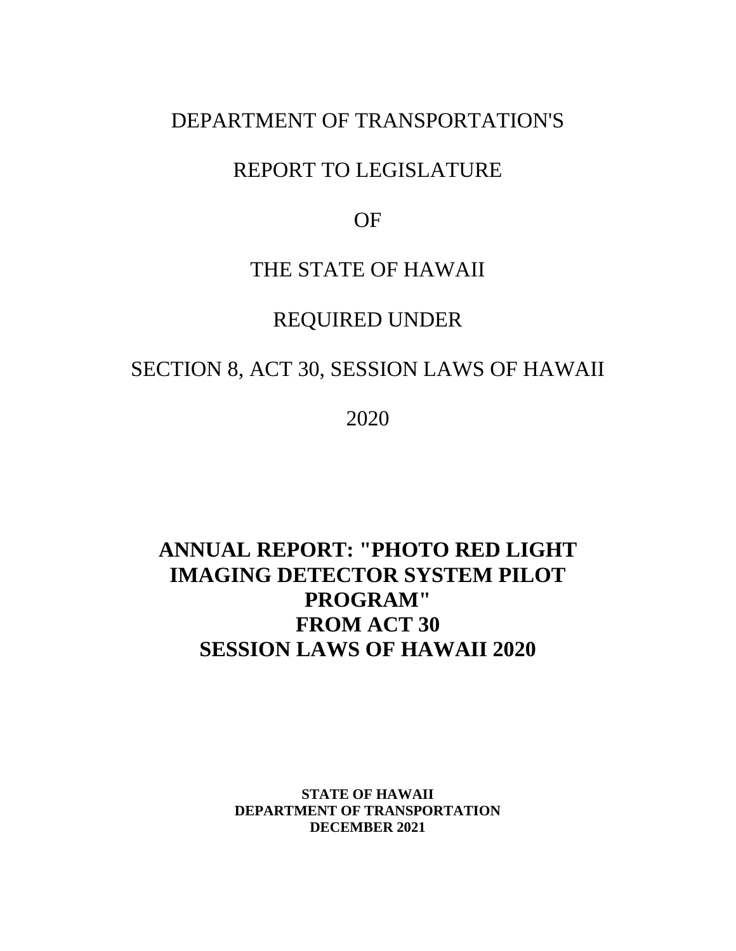### DEPARTMENT OF TRANSPORTATION'S

## REPORT TO LEGISLATURE

OF

### THE STATE OF HAWAII

## REQUIRED UNDER

## SECTION 8, ACT 30, SESSION LAWS OF HAWAII

2020

# **ANNUAL REPORT: "PHOTO RED LIGHT IMAGING DETECTOR SYSTEM PILOT PROGRAM" FROM ACT 30 SESSION LAWS OF HAWAII 2020**

**STATE OF HAWAII DEPARTMENT OF TRANSPORTATION DECEMBER 2021**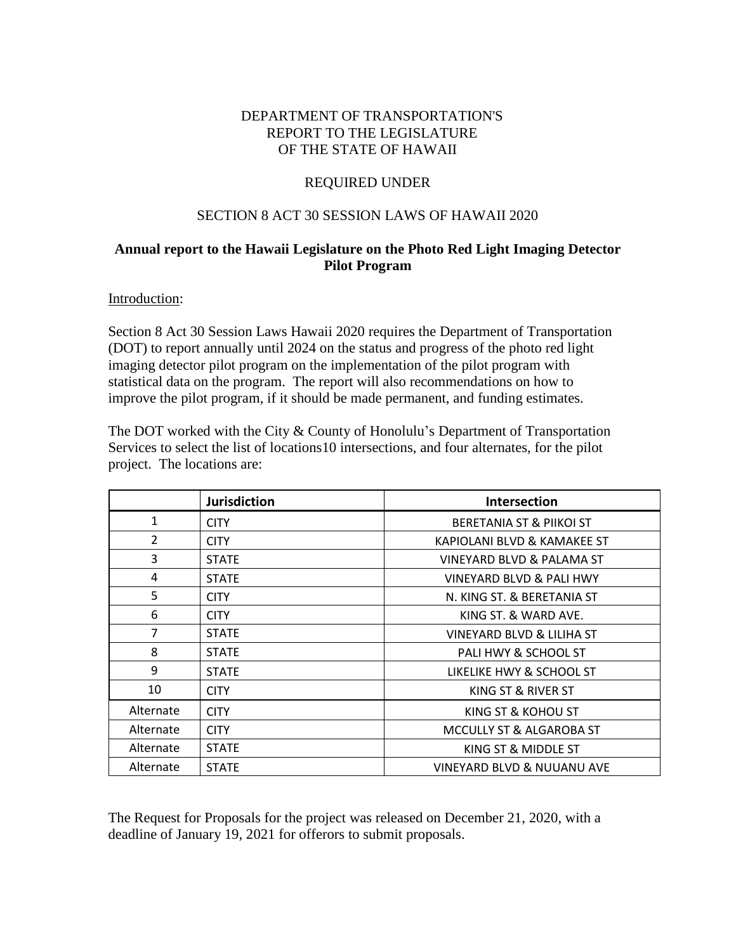### DEPARTMENT OF TRANSPORTATION'S REPORT TO THE LEGISLATURE OF THE STATE OF HAWAII

### REQUIRED UNDER

#### SECTION 8 ACT 30 SESSION LAWS OF HAWAII 2020

### **Annual report to the Hawaii Legislature on the Photo Red Light Imaging Detector Pilot Program**

Introduction:

Section 8 Act 30 Session Laws Hawaii 2020 requires the Department of Transportation (DOT) to report annually until 2024 on the status and progress of the photo red light imaging detector pilot program on the implementation of the pilot program with statistical data on the program. The report will also recommendations on how to improve the pilot program, if it should be made permanent, and funding estimates.

The DOT worked with the City & County of Honolulu's Department of Transportation Services to select the list of locations10 intersections, and four alternates, for the pilot project. The locations are:

|                | <b>Jurisdiction</b> | <b>Intersection</b>                   |
|----------------|---------------------|---------------------------------------|
| 1              | <b>CITY</b>         | BERETANIA ST & PIIKOI ST              |
| $\overline{2}$ | <b>CITY</b>         | KAPIOLANI BLVD & KAMAKEE ST           |
| 3              | <b>STATE</b>        | VINEYARD BLVD & PALAMA ST             |
| 4              | <b>STATE</b>        | VINEYARD BLVD & PALI HWY              |
| 5              | <b>CITY</b>         | N. KING ST. & BERETANIA ST            |
| 6              | <b>CITY</b>         | KING ST. & WARD AVE.                  |
| 7              | <b>STATE</b>        | VINEYARD BLVD & LILIHA ST             |
| 8              | <b>STATE</b>        | PALI HWY & SCHOOL ST                  |
| 9              | <b>STATE</b>        | LIKELIKE HWY & SCHOOL ST              |
| 10             | <b>CITY</b>         | KING ST & RIVER ST                    |
| Alternate      | <b>CITY</b>         | KING ST & KOHOU ST                    |
| Alternate      | <b>CITY</b>         | MCCULLY ST & ALGAROBA ST              |
| Alternate      | <b>STATE</b>        | KING ST & MIDDLE ST                   |
| Alternate      | <b>STATE</b>        | <b>VINEYARD BLVD &amp; NUUANU AVE</b> |

The Request for Proposals for the project was released on December 21, 2020, with a deadline of January 19, 2021 for offerors to submit proposals.